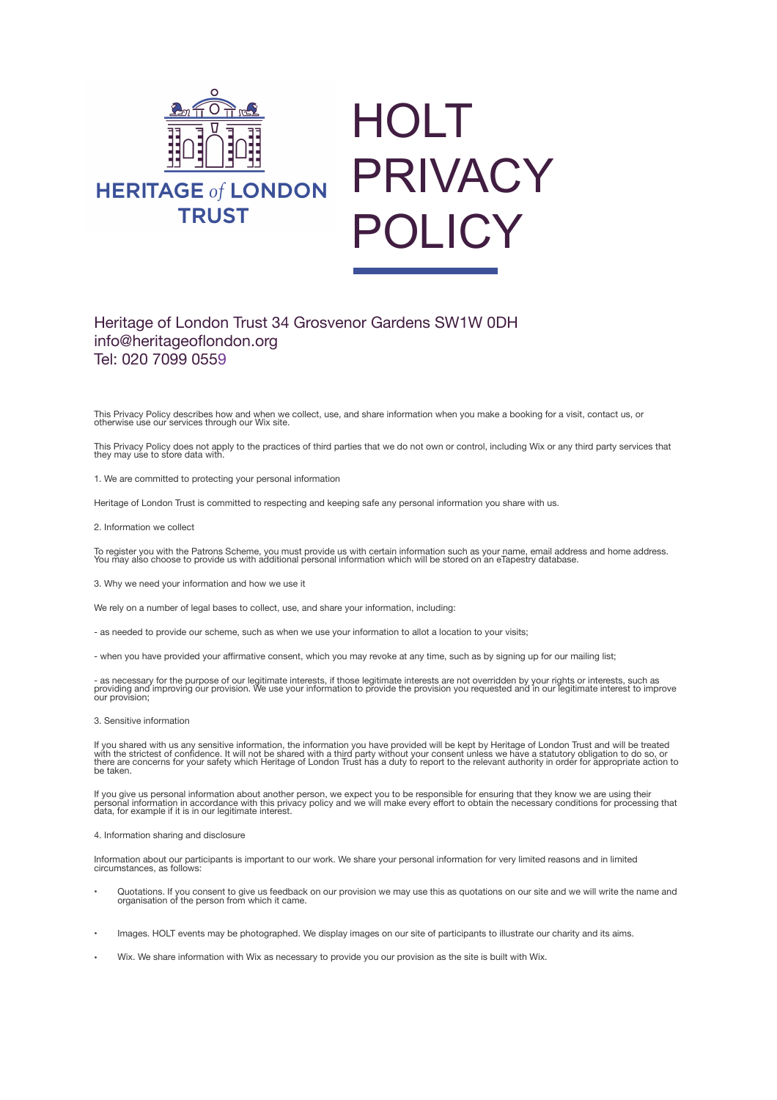



# Heritage of London Trust 34 Grosvenor Gardens SW1W 0DH info@heritageoflondon.org Tel: 020 7099 0559

This Privacy Policy describes how and when we collect, use, and share information when you make a booking for a visit, contact us, or otherwise use our services through our Wix site.

This Privacy Policy does not apply to the practices of third parties that we do not own or control, including Wix or any third party services that they may use to store data with.

1. We are committed to protecting your personal information

Heritage of London Trust is committed to respecting and keeping safe any personal information you share with us.

2. Information we collect

To register you with the Patrons Scheme, you must provide us with certain information such as your name, email address and home address.<br>You may also choose to provide us with additional personal information which will be

3. Why we need your information and how we use it

We rely on a number of legal bases to collect, use, and share your information, including:

- as needed to provide our scheme, such as when we use your information to allot a location to your visits;

- when you have provided your affirmative consent, which you may revoke at any time, such as by signing up for our mailing list;

- as necessary for the purpose of our legitimate interests, if those legitimate interests are not overridden by your rights or interests, such as<br>providing and improving our provision. We use your information to provide th

3. Sensitive information

lf you shared with us any sensitive information, the information you have provided will be kept by Heritage of London Trust and will be treated<br>with the strictest of confidence. It will not be shared with a third party wit be taken.

lf you give us personal information about another person, we expect you to be responsible for ensuring that they know we are using their<br>personal information in accordance with this privacy policy and we will make every ef

4. Information sharing and disclosure

Information about our participants is important to our work. We share your personal information for very limited reasons and in limited circumstances, as follows:

- Quotations. If you consent to give us feedback on our provision we may use this as quotations on our site and we will write the name and organisation of the person from which it came.
- Images. HOLT events may be photographed. We display images on our site of participants to illustrate our charity and its aims.
- Wix. We share information with Wix as necessary to provide you our provision as the site is built with Wix.